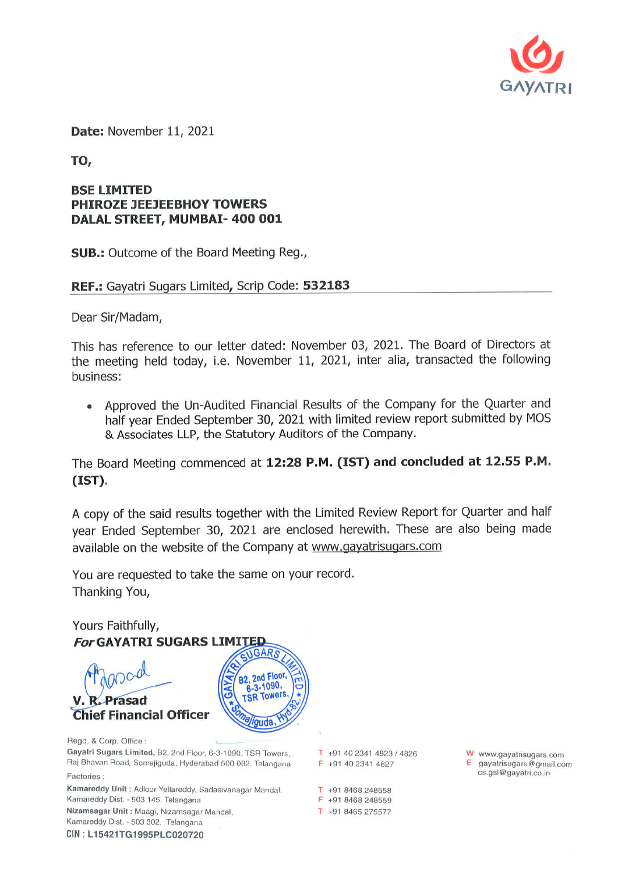

Date: November 11, 2021

TO,

## **BSE LIMITED PHIROZE JEEJEEBHOY TOWERS** DALAL STREET, MUMBAI- 400 001

**SUB.:** Outcome of the Board Meeting Reg.,

REF.: Gayatri Sugars Limited, Scrip Code: 532183

Dear Sir/Madam,

This has reference to our letter dated: November 03, 2021. The Board of Directors at the meeting held today, i.e. November 11, 2021, inter alia, transacted the following business:

Approved the Un-Audited Financial Results of the Company for the Quarter and half year Ended September 30, 2021 with limited review report submitted by MOS & Associates LLP, the Statutory Auditors of the Company.

The Board Meeting commenced at 12:28 P.M. (IST) and concluded at 12.55 P.M.  $(TST)$ .

A copy of the said results together with the Limited Review Report for Quarter and half year Ended September 30, 2021 are enclosed herewith. These are also being made available on the website of the Company at www.gayatrisugars.com

You are requested to take the same on your record. Thanking You,

Yours Faithfully, **For GAYATRI SUGARS LIMITED** 2nd Floor, .1090, Prasad **Chief Financial Officer** Regd. & Corp. Office: Gayatri Sugars Limited, B2, 2nd Floor, 6-3-1090, TSR Towers, Raj Bhavan Road, Somajiguda, Hyderabad 500 082. Telangana Factories: Kamareddy Unit: Adloor Yellareddy, Sadasivanagar Mandal. Kamareddy Dist. - 503 145. Telangana Nizamsagar Unit: Maagi, Nizamsagar Mandal, Kamareddy Dist. - 503 302. Telangana CIN: L15421TG1995PLC020720

 $T$  +91 40 2341 4823 / 4826 F +91 40 2341 4827

 $T + 918468248558$ F +91 8468 248559 T +91 8465 275577

W www.gayatrisugars.com  $E$  gayatrisugars@gmail.com cs.gsl@gayatri.co.in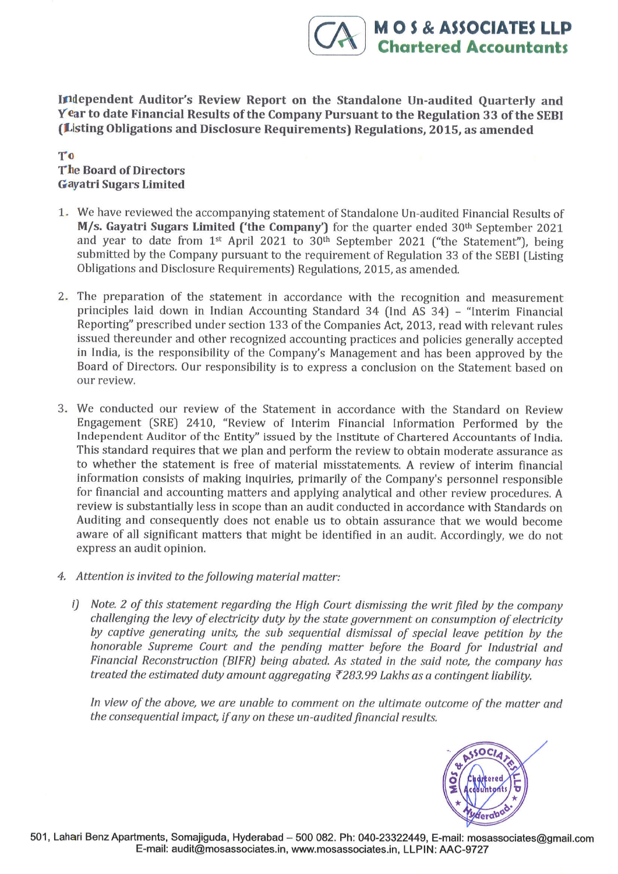Independent Auditor's Review Report on the Standalone Un-audited Quarterly and Year to date Financial Results of the Company Pursuant to the Regulation 33 of the SEBI (Listing Obligations and Disclosure Requirements) Regulations, 2015, as amended

## To The Board of Directors Gayatri Sugars Limited

- 1.. We have reviewed the accompanying statement of Standalone Un-audited Financial Results of M/s. Gayatri Sugars Limited ('the Company') for the quarter ended 30<sup>th</sup> September 2021 and year to date from  $1^{st}$  April 2021 to 30<sup>th</sup> September 2021 ("the Statement"), being submitted by the Company pursuant to the requirement of Regulation 33 of the SEBI (Listing Obligations and Disclosure Requirements) Regulations, 2015, as amended.
- 2. The preparation of the statement in accordance with the recognition and measurement principles laid down in Indian Accounting Standard 34 flnd AS 34) - "lnterim Financial Reporting" prescribed under section 133 of the Companies Act, 2013, read with relevant rules issued thereunder and other recognized accounting practices and policies generally accepted in India, is the responsibility of the Company's Management and has been approved by the Board of Directors. Our responsibility is to express a conclusion on the Statement based on our review.
- 3. We conducted our review of the Statement in accordance with the Standard on Review Engagement (SRE) 2410, "Review of Interim Financial Information Performed by the Independent Auditor of the Entity" issued by the Institute of Chartered Accountants of lndia. This standard requires that we plan and perform the review to obtain moderate assurance as to whether the statement is free of material misstatements. A review of interim financial lnformatlon consists of making inquiries, primarily of the Company's personnel responsible for financial and accounting matters and applying analytical and other review procedures. <sup>A</sup> review is substantially less in scope than an audit conducted in accordance with Standards on Auditing and consequently does not enable us to obtain assurance that we would become aware of all significant matters that might be identified in an audit. Accordingly, we do not express an audit opinion.
- 4. Attention is invited to the following material matter:
	- i) Note. 2 of this statement regarding the High Court dismissing the writ filed by the company challenging the levy of electricity duty by the state government on consumption of electricity by captive generating units, the sub sequential dismissal of special leave petition by the honorable Supreme Court and the pending matter before the Board for Industrial and Financial Reconstruction (BIFR) being abated. As stated in the said note, the company has treated the estimated duty amount aggregating  $\bar{\zeta}$ 283.99 Lakhs as a contingent liability.

In view of the obove, we are unable to comment on the ultimote outcome of the matter and the consequential impact, if any on these un-audited financial results.



M O S & ASSOCIATES LLP<br>Chartered Accountants